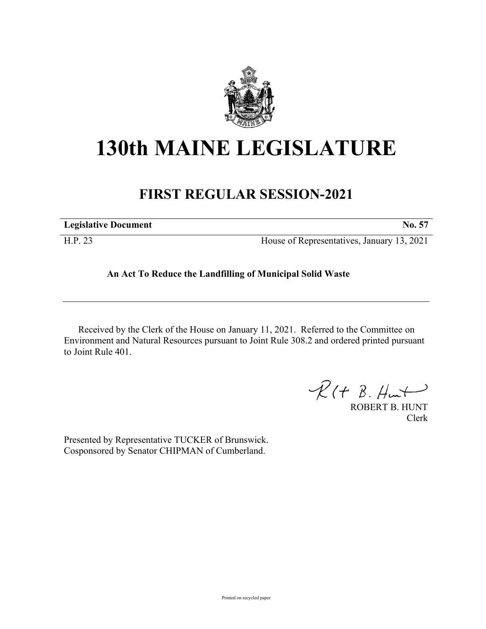

## **130th MAINE LEGISLATURE**

## **FIRST REGULAR SESSION-2021**

| <b>Legislative Document</b> | No. 57                                     |
|-----------------------------|--------------------------------------------|
| H.P. 23                     | House of Representatives, January 13, 2021 |

## **An Act To Reduce the Landfilling of Municipal Solid Waste**

Received by the Clerk of the House on January 11, 2021. Referred to the Committee on Environment and Natural Resources pursuant to Joint Rule 308.2 and ordered printed pursuant to Joint Rule 401.

 $R(H B. H<sub>un</sub>+)$ 

ROBERT B. HUNT Clerk

Presented by Representative TUCKER of Brunswick. Cosponsored by Senator CHIPMAN of Cumberland.